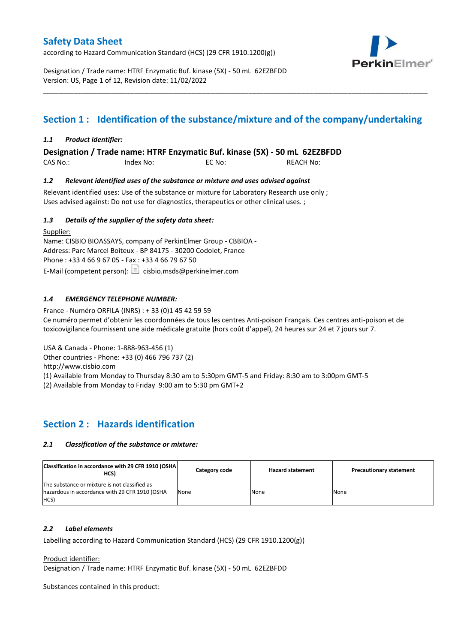according to Hazard Communication Standard (HCS) (29 CFR 1910.1200(g))



Designation / Trade name: HTRF Enzymatic Buf. kinase (5X) - 50 mL 62EZBFDD Version: US, Page 1 of 12, Revision date: 11/02/2022

## **Section 1 : Identification of the substance/mixture and of the company/undertaking**

\_\_\_\_\_\_\_\_\_\_\_\_\_\_\_\_\_\_\_\_\_\_\_\_\_\_\_\_\_\_\_\_\_\_\_\_\_\_\_\_\_\_\_\_\_\_\_\_\_\_\_\_\_\_\_\_\_\_\_\_\_\_\_\_\_\_\_\_\_\_\_\_\_\_\_\_\_\_\_\_\_\_\_\_\_\_\_\_\_\_\_\_\_\_\_\_\_\_\_\_\_

#### *1.1 Product identifier:*

**Designation / Trade name: HTRF Enzymatic Buf. kinase (5X) - 50 mL 62EZBFDD** 

CAS No.: Index No: EC No: REACH No:

#### *1.2 Relevant identified uses of the substance or mixture and uses advised against*

Relevant identified uses: Use of the substance or mixture for Laboratory Research use only ; Uses advised against: Do not use for diagnostics, therapeutics or other clinical uses. ;

#### *1.3 Details of the supplier of the safety data sheet:*

Supplier: Name: CISBIO BIOASSAYS, company of PerkinElmer Group - CBBIOA - Address: Parc Marcel Boiteux - BP 84175 - 30200 Codolet, France Phone : +33 4 66 9 67 05 - Fax : +33 4 66 79 67 50 E-Mail (competent person):  $\Box$  cisbio.msds@perkinelmer.com

#### *1.4 EMERGENCY TELEPHONE NUMBER:*

France - Numéro ORFILA (INRS) : + 33 (0)1 45 42 59 59 Ce numéro permet d'obtenir les coordonnées de tous les centres Anti-poison Français. Ces centres anti-poison et de toxicovigilance fournissent une aide médicale gratuite (hors coût d'appel), 24 heures sur 24 et 7 jours sur 7.

USA & Canada - Phone: 1-888-963-456 (1)

Other countries - Phone: +33 (0) 466 796 737 (2)

http://www.cisbio.com

(1) Available from Monday to Thursday 8:30 am to 5:30pm GMT-5 and Friday: 8:30 am to 3:00pm GMT-5

(2) Available from Monday to Friday 9:00 am to 5:30 pm GMT+2

## **Section 2 : Hazards identification**

#### *2.1 Classification of the substance or mixture:*

| Classification in accordance with 29 CFR 1910 (OSHA)<br>HCS)                                            | Category code | <b>Hazard statement</b> | <b>Precautionary statement</b> |
|---------------------------------------------------------------------------------------------------------|---------------|-------------------------|--------------------------------|
| The substance or mixture is not classified as<br>hazardous in accordance with 29 CFR 1910 (OSHA<br>HCS) | None          | None                    | None                           |

#### *2.2 Label elements*

Labelling according to Hazard Communication Standard (HCS) (29 CFR 1910.1200(g))

Product identifier:

Designation / Trade name: HTRF Enzymatic Buf. kinase (5X) - 50 mL 62EZBFDD

Substances contained in this product: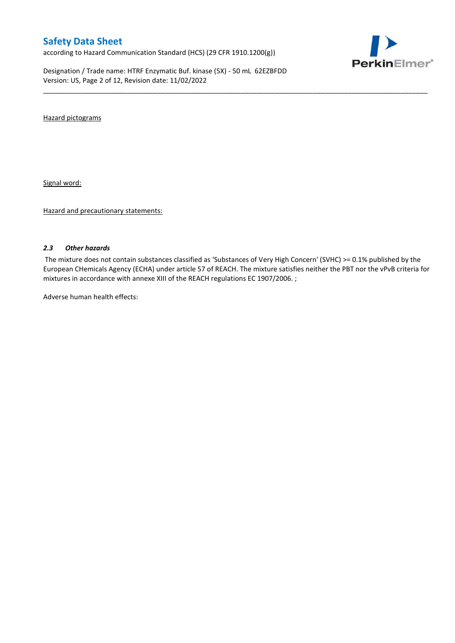according to Hazard Communication Standard (HCS) (29 CFR 1910.1200(g))

Designation / Trade name: HTRF Enzymatic Buf. kinase (5X) - 50 mL 62EZBFDD Version: US, Page 2 of 12, Revision date: 11/02/2022



Hazard pictograms

Signal word:

Hazard and precautionary statements:

#### *2.3 Other hazards*

The mixture does not contain substances classified as 'Substances of Very High Concern' (SVHC) >= 0.1% published by the European CHemicals Agency (ECHA) under article 57 of REACH. The mixture satisfies neither the PBT nor the vPvB criteria for mixtures in accordance with annexe XIII of the REACH regulations EC 1907/2006. ;

\_\_\_\_\_\_\_\_\_\_\_\_\_\_\_\_\_\_\_\_\_\_\_\_\_\_\_\_\_\_\_\_\_\_\_\_\_\_\_\_\_\_\_\_\_\_\_\_\_\_\_\_\_\_\_\_\_\_\_\_\_\_\_\_\_\_\_\_\_\_\_\_\_\_\_\_\_\_\_\_\_\_\_\_\_\_\_\_\_\_\_\_\_\_\_\_\_\_\_\_\_

Adverse human health effects: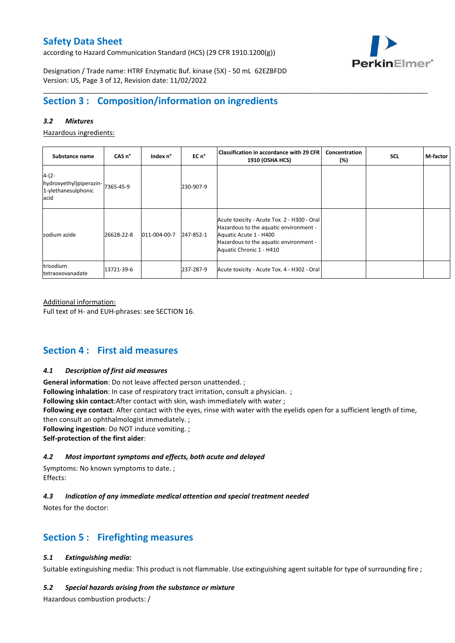according to Hazard Communication Standard (HCS) (29 CFR 1910.1200(g))



Designation / Trade name: HTRF Enzymatic Buf. kinase (5X) - 50 mL 62EZBFDD Version: US, Page 3 of 12, Revision date: 11/02/2022

## **Section 3 : Composition/information on ingredients**

#### *3.2 Mixtures*

Hazardous ingredients:

| Substance name                                                    | CAS <sub>n</sub> ° | Index n°     | EC n <sup>o</sup> | <b>Classification in accordance with 29 CFR</b><br><b>1910 (OSHA HCS)</b>                                                                                                             | Concentration<br>$(\%)$ | <b>SCL</b> | M-factor |
|-------------------------------------------------------------------|--------------------|--------------|-------------------|---------------------------------------------------------------------------------------------------------------------------------------------------------------------------------------|-------------------------|------------|----------|
| $4-(2-$<br>hydroxyethyl)piperazin-<br>1-ylethanesulphonic<br>acid | 7365-45-9          |              | 230-907-9         |                                                                                                                                                                                       |                         |            |          |
| sodium azide                                                      | 26628-22-8         | 011-004-00-7 | 247-852-1         | Acute toxicity - Acute Tox. 2 - H300 - Oral<br>Hazardous to the aquatic environment -<br>Aquatic Acute 1 - H400<br>Hazardous to the aquatic environment -<br>Aquatic Chronic 1 - H410 |                         |            |          |
| trisodium<br>tetraoxovanadate                                     | 13721-39-6         |              | 237-287-9         | Acute toxicity - Acute Tox. 4 - H302 - Oral                                                                                                                                           |                         |            |          |

\_\_\_\_\_\_\_\_\_\_\_\_\_\_\_\_\_\_\_\_\_\_\_\_\_\_\_\_\_\_\_\_\_\_\_\_\_\_\_\_\_\_\_\_\_\_\_\_\_\_\_\_\_\_\_\_\_\_\_\_\_\_\_\_\_\_\_\_\_\_\_\_\_\_\_\_\_\_\_\_\_\_\_\_\_\_\_\_\_\_\_\_\_\_\_\_\_\_\_\_\_

#### Additional information:

Full text of H- and EUH-phrases: see SECTION 16.

## **Section 4 : First aid measures**

#### *4.1 Description of first aid measures*

**General information**: Do not leave affected person unattended. ; **Following inhalation**: In case of respiratory tract irritation, consult a physician. ; **Following skin contact**:After contact with skin, wash immediately with water ; **Following eye contact**: After contact with the eyes, rinse with water with the eyelids open for a sufficient length of time, then consult an ophthalmologist immediately. ; **Following ingestion**: Do NOT induce vomiting. ; **Self-protection of the first aider**:

#### *4.2 Most important symptoms and effects, both acute and delayed*

Symptoms: No known symptoms to date. ; Effects:

#### *4.3 Indication of any immediate medical attention and special treatment needed*

Notes for the doctor:

## **Section 5 : Firefighting measures**

#### *5.1 Extinguishing media:*

Suitable extinguishing media: This product is not flammable. Use extinguishing agent suitable for type of surrounding fire ;

#### *5.2 Special hazards arising from the substance or mixture*

Hazardous combustion products: /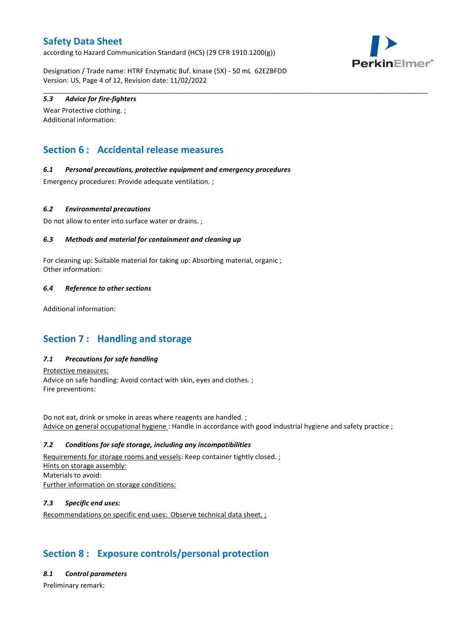according to Hazard Communication Standard (HCS) (29 CFR 1910.1200(g))



Designation / Trade name: HTRF Enzymatic Buf. kinase (5X) - 50 mL 62EZBFDD Version: US, Page 4 of 12, Revision date: 11/02/2022

\_\_\_\_\_\_\_\_\_\_\_\_\_\_\_\_\_\_\_\_\_\_\_\_\_\_\_\_\_\_\_\_\_\_\_\_\_\_\_\_\_\_\_\_\_\_\_\_\_\_\_\_\_\_\_\_\_\_\_\_\_\_\_\_\_\_\_\_\_\_\_\_\_\_\_\_\_\_\_\_\_\_\_\_\_\_\_\_\_\_\_\_\_\_\_\_\_\_\_\_\_

#### *5.3 Advice for fire-fighters*

Wear Protective clothing. ; Additional information:

## **Section 6 : Accidental release measures**

#### *6.1 Personal precautions, protective equipment and emergency procedures*

Emergency procedures: Provide adequate ventilation. ;

#### *6.2 Environmental precautions*

Do not allow to enter into surface water or drains. ;

#### *6.3 Methods and material for containment and cleaning up*

For cleaning up: Suitable material for taking up: Absorbing material, organic ; Other information:

#### *6.4 Reference to other sections*

Additional information:

## **Section 7 : Handling and storage**

#### *7.1 Precautions for safe handling*

Protective measures: Advice on safe handling: Avoid contact with skin, eyes and clothes. ; Fire preventions:

Do not eat, drink or smoke in areas where reagents are handled. ; Advice on general occupational hygiene : Handle in accordance with good industrial hygiene and safety practice ;

#### *7.2 Conditions for safe storage, including any incompatibilities*

Requirements for storage rooms and vessels: Keep container tightly closed. ; Hints on storage assembly: Materials to avoid: Further information on storage conditions:

#### *7.3 Specific end uses:*

Recommendations on specific end uses: Observe technical data sheet. ;

## **Section 8 : Exposure controls/personal protection**

#### *8.1 Control parameters*

Preliminary remark: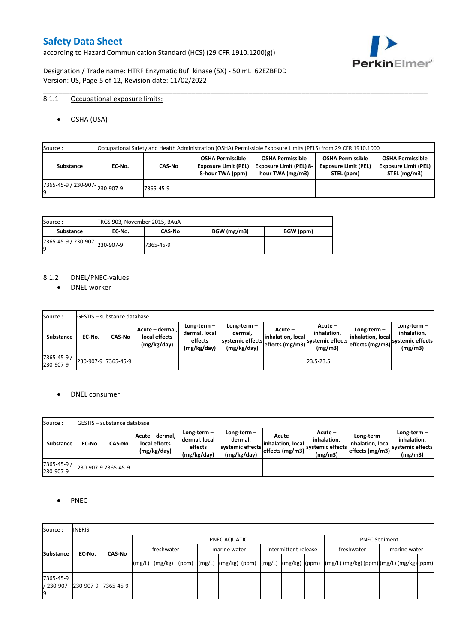according to Hazard Communication Standard (HCS) (29 CFR 1910.1200(g))



Designation / Trade name: HTRF Enzymatic Buf. kinase (5X) - 50 mL 62EZBFDD Version: US, Page 5 of 12, Revision date: 11/02/2022

#### 8.1.1 Occupational exposure limits:

OSHA (USA)

| Source:                             | Occupational Safety and Health Administration (OSHA) Permissible Exposure Limits (PELS) from 29 CFR 1910.1000 |           |                                                                            |                                                                               |                                                                      |                                                                        |  |  |
|-------------------------------------|---------------------------------------------------------------------------------------------------------------|-----------|----------------------------------------------------------------------------|-------------------------------------------------------------------------------|----------------------------------------------------------------------|------------------------------------------------------------------------|--|--|
| Substance                           | EC No.                                                                                                        | CAS-No    | <b>OSHA Permissible</b><br><b>Exposure Limit (PEL)</b><br>8-hour TWA (ppm) | <b>OSHA Permissible</b><br><b>Exposure Limit (PEL) 8-</b><br>hour TWA (mg/m3) | <b>OSHA Permissible</b><br><b>Exposure Limit (PEL)</b><br>STEL (ppm) | <b>OSHA Permissible</b><br><b>Exposure Limit (PEL)</b><br>STEL (mg/m3) |  |  |
| $(7365-45-9) / 230-907$ $230-907-9$ |                                                                                                               | 7365-45-9 |                                                                            |                                                                               |                                                                      |                                                                        |  |  |

\_\_\_\_\_\_\_\_\_\_\_\_\_\_\_\_\_\_\_\_\_\_\_\_\_\_\_\_\_\_\_\_\_\_\_\_\_\_\_\_\_\_\_\_\_\_\_\_\_\_\_\_\_\_\_\_\_\_\_\_\_\_\_\_\_\_\_\_\_\_\_\_\_\_\_\_\_\_\_\_\_\_\_\_\_\_\_\_\_\_\_\_\_\_\_\_\_\_\_\_\_

| Source :                       | TRGS 903, November 2015, BAuA |               |             |           |
|--------------------------------|-------------------------------|---------------|-------------|-----------|
| Substance                      | EC No.                        | <b>CAS-No</b> | BGW (mg/m3) | BGW (ppm) |
| ./365-45-9 / 230-907-230-907-9 |                               | 7365-45-9     |             |           |

#### 8.1.2 DNEL/PNEC-values:

• DNEL worker

| Source:                  |                     | <b>IGESTIS – substance database</b> |                                                 |                                                          |                                                             |                                                  |                                                       |                                                          |                                                             |
|--------------------------|---------------------|-------------------------------------|-------------------------------------------------|----------------------------------------------------------|-------------------------------------------------------------|--------------------------------------------------|-------------------------------------------------------|----------------------------------------------------------|-------------------------------------------------------------|
| Substance                | EC-No.              | <b>CAS-No</b>                       | Acute – dermal,<br>local effects<br>(mg/kg/day) | Long-term $-$<br>dermal, local<br>effects<br>(mg/kg/day) | Long-term $-$<br>dermal,<br>systemic effects<br>(mg/kg/day) | Acute –<br>linhalation. local<br>effects (mg/m3) | Acute -<br>inhalation.<br>systemic effects<br>(mg/m3) | Long-term $-$<br>linhalation. local<br>effects (mg/m3) ` | $Long-term -$<br>inhalation.<br>systemic effects<br>(mg/m3) |
| 7365-45-9 /<br>230-907-9 | 230-907-9 7365-45-9 |                                     |                                                 |                                                          |                                                             |                                                  | 23.5-23.5                                             |                                                          |                                                             |

#### DNEL consumer

| Source:                  |        | <b>IGESTIS – substance database</b> |                                                 |                                                          |                                                             |                                                        |                                                       |                                                        |                                                             |
|--------------------------|--------|-------------------------------------|-------------------------------------------------|----------------------------------------------------------|-------------------------------------------------------------|--------------------------------------------------------|-------------------------------------------------------|--------------------------------------------------------|-------------------------------------------------------------|
| Substance                | EC No. | CAS-No                              | Acute - dermal,<br>local effects<br>(mg/kg/day) | Long-term $-$<br>dermal, local<br>effects<br>(mg/kg/day) | $Long-term -$<br>dermal.<br>systemic effects<br>(mg/kg/day) | Acute –<br>linhalation. local<br>$effects$ (mg/m3) $ $ | Acute -<br>inhalation.<br>systemic effects<br>(mg/m3) | $Long-term -$<br>linhalation. local<br>effects (mg/m3) | Long-term $-$<br>inhalation.<br>systemic effects<br>(mg/m3) |
| 7365-45-9 /<br>230-907-9 |        | 230-907-9 7365-45-9                 |                                                 |                                                          |                                                             |                                                        |                                                       |                                                        |                                                             |

#### • PNEC

| Source:                                 | <b>INERIS</b> |               |            |                                                                                                                                                                                                                                                                                                                                                                                                                                                                                               |  |  |              |  |                      |  |                      |  |  |              |  |  |  |
|-----------------------------------------|---------------|---------------|------------|-----------------------------------------------------------------------------------------------------------------------------------------------------------------------------------------------------------------------------------------------------------------------------------------------------------------------------------------------------------------------------------------------------------------------------------------------------------------------------------------------|--|--|--------------|--|----------------------|--|----------------------|--|--|--------------|--|--|--|
|                                         |               |               |            | PNEC AQUATIC                                                                                                                                                                                                                                                                                                                                                                                                                                                                                  |  |  |              |  |                      |  | <b>PNEC Sediment</b> |  |  |              |  |  |  |
| <b>Substance</b>                        | EC-No.        |               | freshwater |                                                                                                                                                                                                                                                                                                                                                                                                                                                                                               |  |  | marine water |  | intermittent release |  | freshwater           |  |  | marine water |  |  |  |
|                                         |               | <b>CAS No</b> |            | $\lceil (mg/L) \rceil \cdot (mg/kg) \cdot (ppm) \cdot (mg/L) \cdot (mg/kg) \cdot (ppm) \cdot (mg/L) \cdot (mg/kg) \cdot (ppm) \cdot (mg/L) \cdot (mg/L) \cdot (mg/L) \cdot (mg/L) \cdot (mg/L) \cdot (mg/L) \cdot (mg/L) \cdot (mg/L) \cdot (mg/L) \cdot (mg/L) \cdot (mg/L) \cdot (mg/L) \cdot (mg/L) \cdot (mg/L) \cdot (mg/L) \cdot (mg/L) \cdot (gm/L) \cdot (gm/L) \cdot (gm/L) \cdot (mg/L) \cdot (mg/L) \cdot (gm/L) \cdot (gm/L) \cdot (gm/L) \cdot (gm/L) \cdot (gm/L) \cdot (gm/L)$ |  |  |              |  |                      |  |                      |  |  |              |  |  |  |
| 7365-45-9<br>/ 230-907- 230-907-9<br>19 |               | 7365-45-9     |            |                                                                                                                                                                                                                                                                                                                                                                                                                                                                                               |  |  |              |  |                      |  |                      |  |  |              |  |  |  |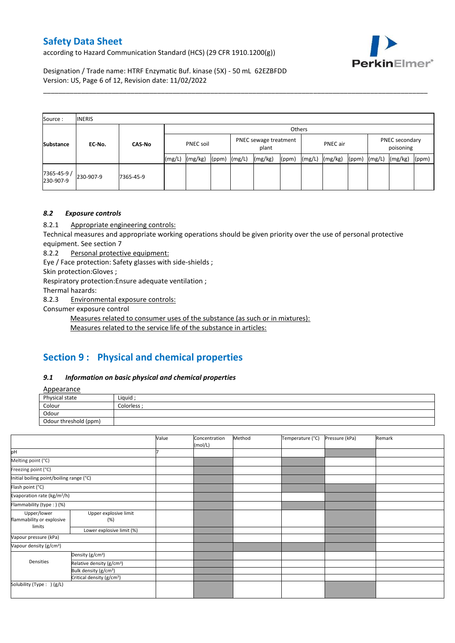according to Hazard Communication Standard (HCS) (29 CFR 1910.1200(g))



Designation / Trade name: HTRF Enzymatic Buf. kinase (5X) - 50 mL 62EZBFDD Version: US, Page 6 of 12, Revision date: 11/02/2022

| Source:                  | <b>INERIS</b> |               |           |         |       |                                |         |       |          |         |       |                             |         |       |
|--------------------------|---------------|---------------|-----------|---------|-------|--------------------------------|---------|-------|----------|---------|-------|-----------------------------|---------|-------|
|                          |               |               |           | Others  |       |                                |         |       |          |         |       |                             |         |       |
| <b>Substance</b>         | EC-No.        | <b>CAS-No</b> | PNEC soil |         |       | PNEC sewage treatment<br>plant |         |       | PNEC air |         |       | PNEC secondary<br>poisoning |         |       |
|                          |               |               | (mg/L)    | (mg/kg) | (ppm) | (mg/L)                         | (mg/kg) | (ppm) | (mg/L)   | (mg/kg) | (ppm) | (mg/L)                      | (mg/kg) | (ppm) |
| 7365-45-9 /<br>230-907-9 | 230-907-9     | 7365-45-9     |           |         |       |                                |         |       |          |         |       |                             |         |       |

\_\_\_\_\_\_\_\_\_\_\_\_\_\_\_\_\_\_\_\_\_\_\_\_\_\_\_\_\_\_\_\_\_\_\_\_\_\_\_\_\_\_\_\_\_\_\_\_\_\_\_\_\_\_\_\_\_\_\_\_\_\_\_\_\_\_\_\_\_\_\_\_\_\_\_\_\_\_\_\_\_\_\_\_\_\_\_\_\_\_\_\_\_\_\_\_\_\_\_\_\_

#### *8.2 Exposure controls*

8.2.1 Appropriate engineering controls:

Technical measures and appropriate working operations should be given priority over the use of personal protective equipment. See section 7

8.2.2 Personal protective equipment:

Eye / Face protection: Safety glasses with side-shields ;

Skin protection:Gloves ;

Respiratory protection:Ensure adequate ventilation ;

Thermal hazards:

8.2.3 Environmental exposure controls:

Consumer exposure control

Measures related to consumer uses of the substance (as such or in mixtures):

Measures related to the service life of the substance in articles:

## **Section 9 : Physical and chemical properties**

#### *9.1 Information on basic physical and chemical properties*

**Annearance** 

| n                     |             |
|-----------------------|-------------|
| Physical state        | Liquid      |
| Colour                | Colorless · |
| Odour                 |             |
| Odour threshold (ppm) |             |

|                                          |                                       | Value | Concentration<br>(mol/L) | Method | Temperature (°C) | Pressure (kPa) | Remark |
|------------------------------------------|---------------------------------------|-------|--------------------------|--------|------------------|----------------|--------|
| pH                                       |                                       |       |                          |        |                  |                |        |
| Melting point (°C)                       |                                       |       |                          |        |                  |                |        |
| Freezing point (°C)                      |                                       |       |                          |        |                  |                |        |
| Initial boiling point/boiling range (°C) |                                       |       |                          |        |                  |                |        |
| Flash point (°C)                         |                                       |       |                          |        |                  |                |        |
| Evaporation rate (kg/m <sup>2</sup> /h)  |                                       |       |                          |        |                  |                |        |
| Flammability (type:) (%)                 |                                       |       |                          |        |                  |                |        |
| Upper/lower<br>flammability or explosive | Upper explosive limit<br>(%)          |       |                          |        |                  |                |        |
| limits                                   | Lower explosive limit (%)             |       |                          |        |                  |                |        |
| Vapour pressure (kPa)                    |                                       |       |                          |        |                  |                |        |
| Vapour density (g/cm <sup>3</sup> )      |                                       |       |                          |        |                  |                |        |
|                                          | Density (g/cm <sup>3</sup> )          |       |                          |        |                  |                |        |
| Densities                                | Relative density (g/cm <sup>3</sup> ) |       |                          |        |                  |                |        |
|                                          | Bulk density (g/cm <sup>3</sup> )     |       |                          |        |                  |                |        |
|                                          | Critical density (g/cm <sup>3</sup> ) |       |                          |        |                  |                |        |
| Solubility (Type: ) (g/L)                |                                       |       |                          |        |                  |                |        |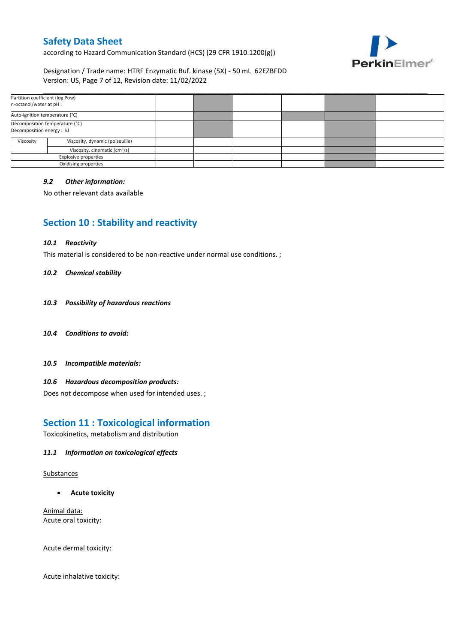according to Hazard Communication Standard (HCS) (29 CFR 1910.1200(g))



Designation / Trade name: HTRF Enzymatic Buf. kinase (5X) - 50 mL 62EZBFDD Version: US, Page 7 of 12, Revision date: 11/02/2022

| Partition coefficient (log Pow)<br>n-octanol/water at pH :  |                                 |  |  |  |
|-------------------------------------------------------------|---------------------------------|--|--|--|
| Auto-ignition temperature (°C)                              |                                 |  |  |  |
| Decomposition temperature (°C)<br>Decomposition energy : kJ |                                 |  |  |  |
| Viscosity                                                   | Viscosity, dynamic (poiseuille) |  |  |  |
| Viscosity, cinematic (cm <sup>3</sup> /s)                   |                                 |  |  |  |
| Explosive properties                                        |                                 |  |  |  |
|                                                             | Oxidising properties            |  |  |  |

#### *9.2 Other information:*

No other relevant data available

## **Section 10 : Stability and reactivity**

#### *10.1 Reactivity*

This material is considered to be non-reactive under normal use conditions. ;

#### *10.2 Chemical stability*

- *10.3 Possibility of hazardous reactions*
- *10.4 Conditions to avoid:*
- *10.5 Incompatible materials:*

#### *10.6 Hazardous decomposition products:*

Does not decompose when used for intended uses. ;

### **Section 11 : Toxicological information**

Toxicokinetics, metabolism and distribution

#### *11.1 Information on toxicological effects*

#### Substances

**Acute toxicity**

Animal data: Acute oral toxicity:

Acute dermal toxicity:

Acute inhalative toxicity: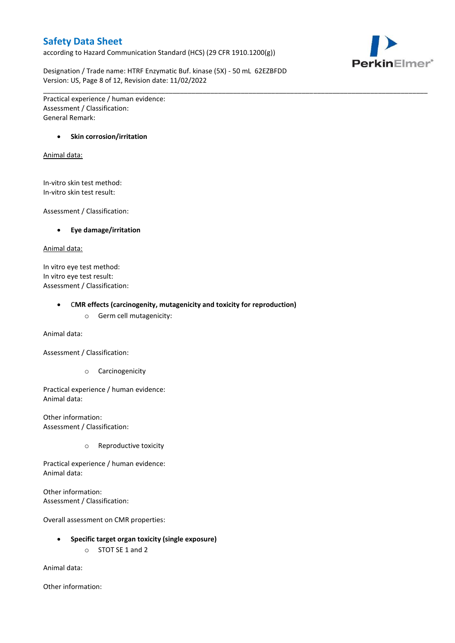according to Hazard Communication Standard (HCS) (29 CFR 1910.1200(g))



Designation / Trade name: HTRF Enzymatic Buf. kinase (5X) - 50 mL 62EZBFDD Version: US, Page 8 of 12, Revision date: 11/02/2022

\_\_\_\_\_\_\_\_\_\_\_\_\_\_\_\_\_\_\_\_\_\_\_\_\_\_\_\_\_\_\_\_\_\_\_\_\_\_\_\_\_\_\_\_\_\_\_\_\_\_\_\_\_\_\_\_\_\_\_\_\_\_\_\_\_\_\_\_\_\_\_\_\_\_\_\_\_\_\_\_\_\_\_\_\_\_\_\_\_\_\_\_\_\_\_\_\_\_\_\_\_

Practical experience / human evidence: Assessment / Classification: General Remark:

#### **•** Skin corrosion/irritation

#### Animal data:

In-vitro skin test method: In-vitro skin test result:

Assessment / Classification:

#### **Eye damage/irritation**

#### Animal data:

In vitro eye test method: In vitro eye test result: Assessment / Classification:

#### C**MR effects (carcinogenity, mutagenicity and toxicity for reproduction)**

o Germ cell mutagenicity:

Animal data:

Assessment / Classification:

o Carcinogenicity

Practical experience / human evidence: Animal data:

Other information: Assessment / Classification:

o Reproductive toxicity

Practical experience / human evidence: Animal data:

Other information: Assessment / Classification:

Overall assessment on CMR properties:

- **Specific target organ toxicity (single exposure)**
	- o STOT SE 1 and 2

Animal data:

Other information: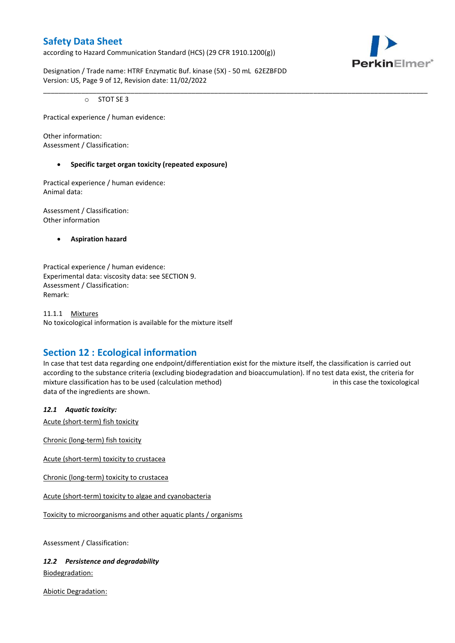according to Hazard Communication Standard (HCS) (29 CFR 1910.1200(g))



Designation / Trade name: HTRF Enzymatic Buf. kinase (5X) - 50 mL 62EZBFDD Version: US, Page 9 of 12, Revision date: 11/02/2022

o STOT SE 3

Practical experience / human evidence:

Other information: Assessment / Classification:

#### **Specific target organ toxicity (repeated exposure)**

Practical experience / human evidence: Animal data:

Assessment / Classification: Other information

**Aspiration hazard**

Practical experience / human evidence: Experimental data: viscosity data: see SECTION 9. Assessment / Classification: Remark:

11.1.1 Mixtures No toxicological information is available for the mixture itself

## **Section 12 : Ecological information**

In case that test data regarding one endpoint/differentiation exist for the mixture itself, the classification is carried out according to the substance criteria (excluding biodegradation and bioaccumulation). If no test data exist, the criteria for mixture classification has to be used (calculation method) in this case the toxicological data of the ingredients are shown.

\_\_\_\_\_\_\_\_\_\_\_\_\_\_\_\_\_\_\_\_\_\_\_\_\_\_\_\_\_\_\_\_\_\_\_\_\_\_\_\_\_\_\_\_\_\_\_\_\_\_\_\_\_\_\_\_\_\_\_\_\_\_\_\_\_\_\_\_\_\_\_\_\_\_\_\_\_\_\_\_\_\_\_\_\_\_\_\_\_\_\_\_\_\_\_\_\_\_\_\_\_

#### *12.1 Aquatic toxicity:*

Acute (short-term) fish toxicity

Chronic (long-term) fish toxicity

Acute (short-term) toxicity to crustacea

Chronic (long-term) toxicity to crustacea

Acute (short-term) toxicity to algae and cyanobacteria

Toxicity to microorganisms and other aquatic plants / organisms

Assessment / Classification:

*12.2 Persistence and degradability* Biodegradation:

Abiotic Degradation: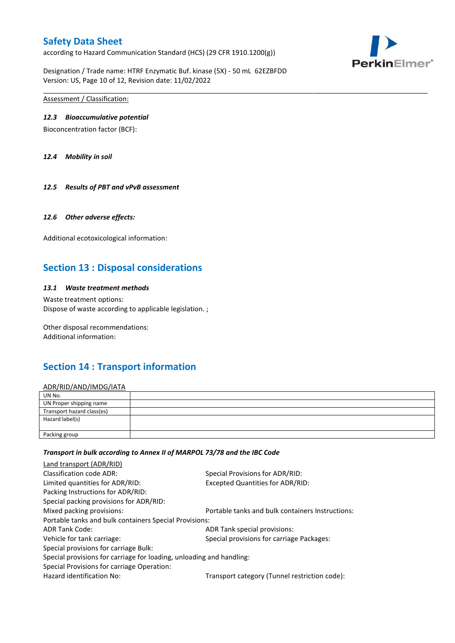according to Hazard Communication Standard (HCS) (29 CFR 1910.1200(g))



Designation / Trade name: HTRF Enzymatic Buf. kinase (5X) - 50 mL 62EZBFDD Version: US, Page 10 of 12, Revision date: 11/02/2022

Assessment / Classification:

#### *12.3 Bioaccumulative potential*

Bioconcentration factor (BCF):

*12.4 Mobility in soil*

#### *12.5 Results of PBT and vPvB assessment*

#### *12.6 Other adverse effects:*

Additional ecotoxicological information:

## **Section 13 : Disposal considerations**

#### *13.1 Waste treatment methods*

Waste treatment options: Dispose of waste according to applicable legislation. ;

Other disposal recommendations: Additional information:

## **Section 14 : Transport information**

#### ADR/RID/AND/IMDG/IATA

| UN No.                     |  |
|----------------------------|--|
| UN Proper shipping name    |  |
| Transport hazard class(es) |  |
| Hazard label(s)            |  |
| Packing group              |  |

\_\_\_\_\_\_\_\_\_\_\_\_\_\_\_\_\_\_\_\_\_\_\_\_\_\_\_\_\_\_\_\_\_\_\_\_\_\_\_\_\_\_\_\_\_\_\_\_\_\_\_\_\_\_\_\_\_\_\_\_\_\_\_\_\_\_\_\_\_\_\_\_\_\_\_\_\_\_\_\_\_\_\_\_\_\_\_\_\_\_\_\_\_\_\_\_\_\_\_\_\_

#### *Transport in bulk according to Annex II of MARPOL 73/78 and the IBC Code*

| Special Provisions for ADR/RID:                                      |  |
|----------------------------------------------------------------------|--|
| Excepted Quantities for ADR/RID:                                     |  |
|                                                                      |  |
|                                                                      |  |
| Portable tanks and bulk containers Instructions:                     |  |
| Portable tanks and bulk containers Special Provisions:               |  |
| ADR Tank special provisions:                                         |  |
| Special provisions for carriage Packages:                            |  |
|                                                                      |  |
| Special provisions for carriage for loading, unloading and handling: |  |
|                                                                      |  |
| Transport category (Tunnel restriction code):                        |  |
|                                                                      |  |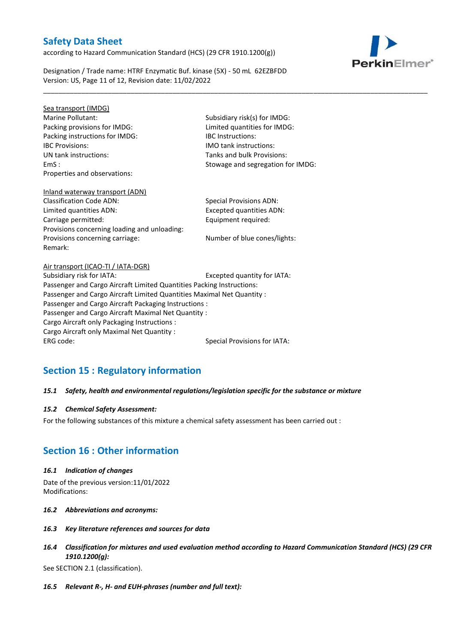according to Hazard Communication Standard (HCS) (29 CFR 1910.1200(g))



Designation / Trade name: HTRF Enzymatic Buf. kinase (5X) - 50 mL 62EZBFDD Version: US, Page 11 of 12, Revision date: 11/02/2022

Sea transport (IMDG) Marine Pollutant: Subsidiary risk(s) for IMDG: Packing provisions for IMDG: Limited quantities for IMDG: Packing instructions for IMDG: IBC Instructions: IBC Provisions: IMO tank instructions: UN tank instructions: Tanks and bulk Provisions: Properties and observations:

EmS : Stowage and segregation for IMDG:

\_\_\_\_\_\_\_\_\_\_\_\_\_\_\_\_\_\_\_\_\_\_\_\_\_\_\_\_\_\_\_\_\_\_\_\_\_\_\_\_\_\_\_\_\_\_\_\_\_\_\_\_\_\_\_\_\_\_\_\_\_\_\_\_\_\_\_\_\_\_\_\_\_\_\_\_\_\_\_\_\_\_\_\_\_\_\_\_\_\_\_\_\_\_\_\_\_\_\_\_\_

# Inland waterway transport (ADN)

Classification Code ADN: Special Provisions ADN: Limited quantities ADN: Excepted quantities ADN: Carriage permitted: Carriage permitted: Provisions concerning loading and unloading: Provisions concerning carriage: Number of blue cones/lights: Remark:

Air transport (ICAO-TI / IATA-DGR) Subsidiary risk for IATA: Excepted quantity for IATA: Passenger and Cargo Aircraft Limited Quantities Packing Instructions: Passenger and Cargo Aircraft Limited Quantities Maximal Net Quantity : Passenger and Cargo Aircraft Packaging Instructions : Passenger and Cargo Aircraft Maximal Net Quantity : Cargo Aircraft only Packaging Instructions : Cargo Aircraft only Maximal Net Quantity : ERG code: Special Provisions for IATA:

## **Section 15 : Regulatory information**

#### *15.1 Safety, health and environmental regulations/legislation specific for the substance or mixture*

#### *15.2 Chemical Safety Assessment:*

For the following substances of this mixture a chemical safety assessment has been carried out :

## **Section 16 : Other information**

#### *16.1 Indication of changes*

Date of the previous version:11/01/2022 Modifications:

- *16.2 Abbreviations and acronyms:*
- *16.3 Key literature references and sources for data*
- *16.4 Classification for mixtures and used evaluation method according to Hazard Communication Standard (HCS) (29 CFR 1910.1200(g):*

See SECTION 2.1 (classification).

*16.5 Relevant R-, H- and EUH-phrases (number and full text):*